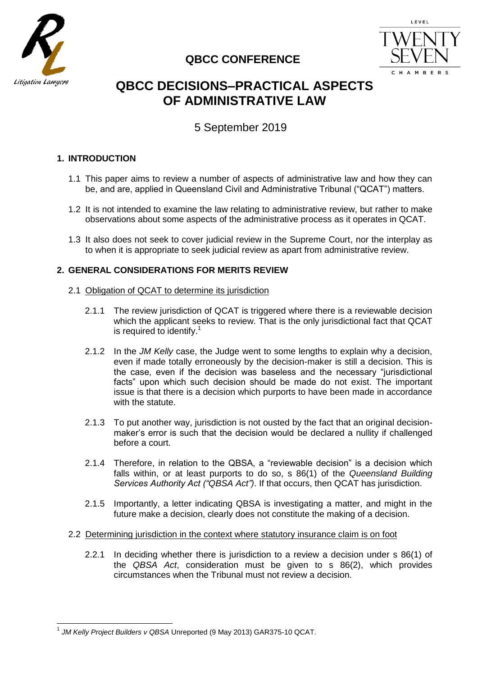

# **QBCC CONFERENCE**



# **QBCC DECISIONS–PRACTICAL ASPECTS OF ADMINISTRATIVE LAW**

5 September 2019

# **1. INTRODUCTION**

- 1.1 This paper aims to review a number of aspects of administrative law and how they can be, and are, applied in Queensland Civil and Administrative Tribunal ("QCAT") matters.
- 1.2 It is not intended to examine the law relating to administrative review, but rather to make observations about some aspects of the administrative process as it operates in QCAT.
- 1.3 It also does not seek to cover judicial review in the Supreme Court, nor the interplay as to when it is appropriate to seek judicial review as apart from administrative review.

# **2. GENERAL CONSIDERATIONS FOR MERITS REVIEW**

# 2.1 Obligation of QCAT to determine its jurisdiction

- 2.1.1 The review jurisdiction of QCAT is triggered where there is a reviewable decision which the applicant seeks to review. That is the only jurisdictional fact that QCAT is required to identify.<sup>1</sup>
- 2.1.2 In the *JM Kelly* case, the Judge went to some lengths to explain why a decision, even if made totally erroneously by the decision-maker is still a decision. This is the case, even if the decision was baseless and the necessary "jurisdictional facts" upon which such decision should be made do not exist. The important issue is that there is a decision which purports to have been made in accordance with the statute.
- 2.1.3 To put another way, jurisdiction is not ousted by the fact that an original decisionmaker's error is such that the decision would be declared a nullity if challenged before a court.
- 2.1.4 Therefore, in relation to the QBSA, a "reviewable decision" is a decision which falls within, or at least purports to do so, s 86(1) of the *Queensland Building Services Authority Act ("QBSA Act")*. If that occurs, then QCAT has jurisdiction.
- 2.1.5 Importantly, a letter indicating QBSA is investigating a matter, and might in the future make a decision, clearly does not constitute the making of a decision.
- 2.2 Determining jurisdiction in the context where statutory insurance claim is on foot
	- 2.2.1 In deciding whether there is jurisdiction to a review a decision under s 86(1) of the *QBSA Act*, consideration must be given to s 86(2), which provides circumstances when the Tribunal must not review a decision.

 1 *JM Kelly Project Builders v QBSA* Unreported (9 May 2013) GAR375-10 QCAT.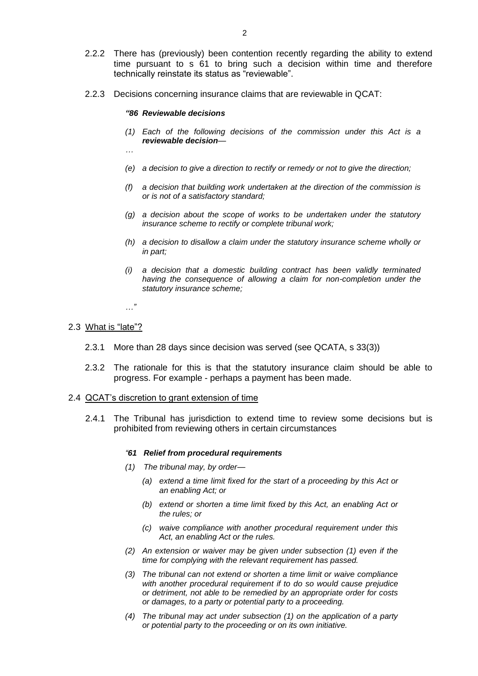- 2.2.2 There has (previously) been contention recently regarding the ability to extend time pursuant to s 61 to bring such a decision within time and therefore technically reinstate its status as "reviewable".
- 2.2.3 Decisions concerning insurance claims that are reviewable in QCAT:

#### *"86 Reviewable decisions*

- *(1) Each of the following decisions of the commission under this Act is a reviewable decision—*
- *…*
- *(e) a decision to give a direction to rectify or remedy or not to give the direction;*
- *(f) a decision that building work undertaken at the direction of the commission is or is not of a satisfactory standard;*
- *(g) a decision about the scope of works to be undertaken under the statutory insurance scheme to rectify or complete tribunal work;*
- *(h) a decision to disallow a claim under the statutory insurance scheme wholly or in part;*
- *(i) a decision that a domestic building contract has been validly terminated having the consequence of allowing a claim for non-completion under the statutory insurance scheme;*

*…"* 

#### 2.3 What is "late"?

- 2.3.1 More than 28 days since decision was served (see QCATA, s 33(3))
- 2.3.2 The rationale for this is that the statutory insurance claim should be able to progress. For example - perhaps a payment has been made.

### 2.4 QCAT's discretion to grant extension of time

2.4.1 The Tribunal has jurisdiction to extend time to review some decisions but is prohibited from reviewing others in certain circumstances

#### *"61 Relief from procedural requirements*

- *(1) The tribunal may, by order—*
	- *(a) extend a time limit fixed for the start of a proceeding by this Act or an enabling Act; or*
	- *(b) extend or shorten a time limit fixed by this Act, an enabling Act or the rules; or*
	- *(c) waive compliance with another procedural requirement under this Act, an enabling Act or the rules.*
- *(2) An extension or waiver may be given under subsection (1) even if the time for complying with the relevant requirement has passed.*
- *(3) The tribunal can not extend or shorten a time limit or waive compliance with another procedural requirement if to do so would cause prejudice or detriment, not able to be remedied by an appropriate order for costs or damages, to a party or potential party to a proceeding.*
- *(4) The tribunal may act under subsection (1) on the application of a party or potential party to the proceeding or on its own initiative.*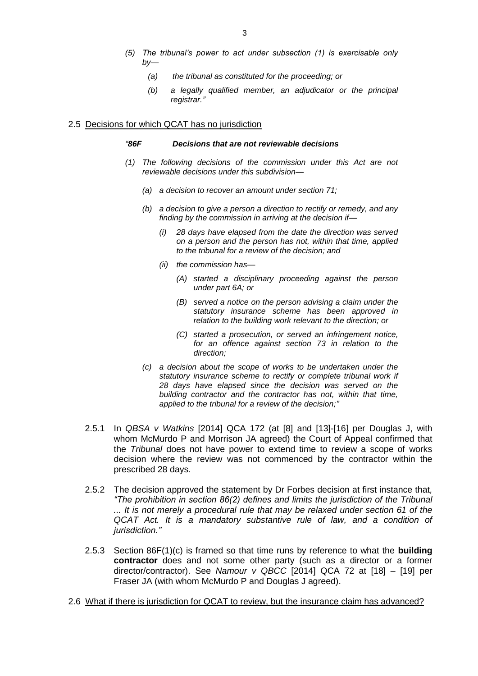- *(5) The tribunal's power to act under subsection (1) is exercisable only by—*
	- *(a) the tribunal as constituted for the proceeding; or*
	- *(b) a legally qualified member, an adjudicator or the principal registrar."*

#### 2.5 Decisions for which QCAT has no jurisdiction

#### *"86F Decisions that are not reviewable decisions*

- *(1) The following decisions of the commission under this Act are not reviewable decisions under this subdivision—*
	- *(a) a decision to recover an amount under section 71;*
	- *(b) a decision to give a person a direction to rectify or remedy, and any finding by the commission in arriving at the decision if—*
		- *(i) 28 days have elapsed from the date the direction was served on a person and the person has not, within that time, applied to the tribunal for a review of the decision; and*
		- *(ii) the commission has—*
			- *(A) started a disciplinary proceeding against the person under part 6A; or*
			- *(B) served a notice on the person advising a claim under the statutory insurance scheme has been approved in relation to the building work relevant to the direction; or*
			- *(C) started a prosecution, or served an infringement notice, for an offence against section 73 in relation to the direction;*
	- *(c) a decision about the scope of works to be undertaken under the statutory insurance scheme to rectify or complete tribunal work if 28 days have elapsed since the decision was served on the building contractor and the contractor has not, within that time, applied to the tribunal for a review of the decision;"*
- 2.5.1 In *QBSA v Watkins* [2014] QCA 172 (at [8] and [13]-[16] per Douglas J, with whom McMurdo P and Morrison JA agreed) the Court of Appeal confirmed that the *Tribunal* does not have power to extend time to review a scope of works decision where the review was not commenced by the contractor within the prescribed 28 days.
- 2.5.2 The decision approved the statement by Dr Forbes decision at first instance that*, "The prohibition in section 86(2) d*e*fines and limits the jurisdiction of the Tribunal ... It is not merely a procedural rule that may be relaxed under section 61 of the QCAT Act. It is a mandatory substantive rule of law, and a condition of jurisdiction."*
- 2.5.3 Section 86F(1)(c) is framed so that time runs by reference to what the **building contractor** does and not some other party (such as a director or a former director/contractor). See *Namour v QBCC* [2014] QCA 72 at [18] – [19] per Fraser JA (with whom McMurdo P and Douglas J agreed).
- 2.6 What if there is jurisdiction for QCAT to review, but the insurance claim has advanced?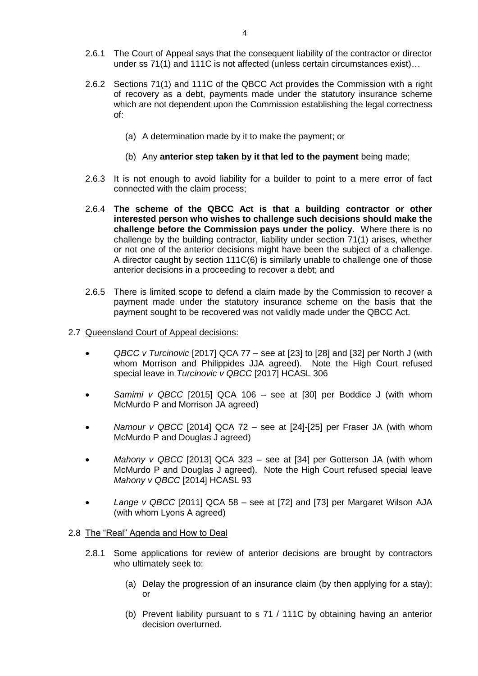- 2.6.1 The Court of Appeal says that the consequent liability of the contractor or director under ss 71(1) and 111C is not affected (unless certain circumstances exist)…
- 2.6.2 Sections 71(1) and 111C of the QBCC Act provides the Commission with a right of recovery as a debt, payments made under the statutory insurance scheme which are not dependent upon the Commission establishing the legal correctness of:
	- (a) A determination made by it to make the payment; or
	- (b) Any **anterior step taken by it that led to the payment** being made;
- 2.6.3 It is not enough to avoid liability for a builder to point to a mere error of fact connected with the claim process;
- 2.6.4 **The scheme of the QBCC Act is that a building contractor or other interested person who wishes to challenge such decisions should make the challenge before the Commission pays under the policy**. Where there is no challenge by the building contractor, liability under section 71(1) arises, whether or not one of the anterior decisions might have been the subject of a challenge. A director caught by section 111C(6) is similarly unable to challenge one of those anterior decisions in a proceeding to recover a debt; and
- 2.6.5 There is limited scope to defend a claim made by the Commission to recover a payment made under the statutory insurance scheme on the basis that the payment sought to be recovered was not validly made under the QBCC Act.
- 2.7 Queensland Court of Appeal decisions:
	- *QBCC v Turcinovic* [2017] QCA 77 see at [23] to [28] and [32] per North J (with whom Morrison and Philippides JJA agreed). Note the High Court refused special leave in *Turcinovic v QBCC* [2017] HCASL 306
	- *Samimi v QBCC* [2015] QCA 106 see at [30] per Boddice J (with whom McMurdo P and Morrison JA agreed)
	- *Namour v QBCC* [2014] QCA 72 see at [24]-[25] per Fraser JA (with whom McMurdo P and Douglas J agreed)
	- *Mahony v QBCC* [2013] QCA 323 see at [34] per Gotterson JA (with whom McMurdo P and Douglas J agreed). Note the High Court refused special leave *Mahony v QBCC* [2014] HCASL 93
	- *Lange v QBCC* [2011] QCA 58 see at [72] and [73] per Margaret Wilson AJA (with whom Lyons A agreed)

# 2.8 The "Real" Agenda and How to Deal

- 2.8.1 Some applications for review of anterior decisions are brought by contractors who ultimately seek to:
	- (a) Delay the progression of an insurance claim (by then applying for a stay); or
	- (b) Prevent liability pursuant to s 71 / 111C by obtaining having an anterior decision overturned.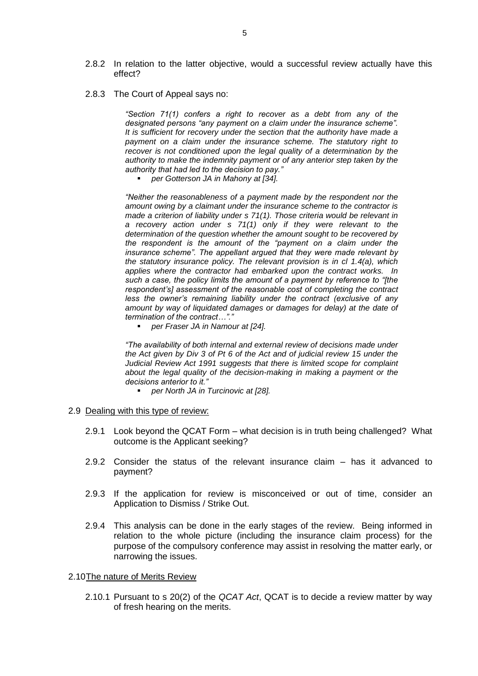- 2.8.2 In relation to the latter objective, would a successful review actually have this effect?
- 2.8.3 The Court of Appeal says no:

*"Section 71(1) confers a right to recover as a debt from any of the designated persons "any payment on a claim under the insurance scheme". It is sufficient for recovery under the section that the authority have made a payment on a claim under the insurance scheme. The statutory right to recover is not conditioned upon the legal quality of a determination by the authority to make the indemnity payment or of any anterior step taken by the authority that had led to the decision to pay."*

*per Gotterson JA in Mahony at [34].*

*"Neither the reasonableness of a payment made by the respondent nor the amount owing by a claimant under the insurance scheme to the contractor is made a criterion of liability under s 71(1). Those criteria would be relevant in a recovery action under s 71(1) only if they were relevant to the determination of the question whether the amount sought to be recovered by the respondent is the amount of the "payment on a claim under the insurance scheme". The appellant argued that they were made relevant by the statutory insurance policy. The relevant provision is in cl 1.4(a), which applies where the contractor had embarked upon the contract works. In such a case, the policy limits the amount of a payment by reference to "[the respondent's] assessment of the reasonable cost of completing the contract less the owner's remaining liability under the contract (exclusive of any amount by way of liquidated damages or damages for delay) at the date of termination of the contract…"."*

*per Fraser JA in Namour at [24].*

*"The availability of both internal and external review of decisions made under the Act given by Div 3 of Pt 6 of the Act and of judicial review 15 under the Judicial Review Act 1991 suggests that there is limited scope for complaint about the legal quality of the decision-making in making a payment or the decisions anterior to it."*

*per North JA in Turcinovic at [28].*

#### 2.9 Dealing with this type of review:

- 2.9.1 Look beyond the QCAT Form what decision is in truth being challenged? What outcome is the Applicant seeking?
- 2.9.2 Consider the status of the relevant insurance claim has it advanced to payment?
- 2.9.3 If the application for review is misconceived or out of time, consider an Application to Dismiss / Strike Out.
- 2.9.4 This analysis can be done in the early stages of the review. Being informed in relation to the whole picture (including the insurance claim process) for the purpose of the compulsory conference may assist in resolving the matter early, or narrowing the issues.

# 2.10The nature of Merits Review

2.10.1 Pursuant to s 20(2) of the *QCAT Act*, QCAT is to decide a review matter by way of fresh hearing on the merits.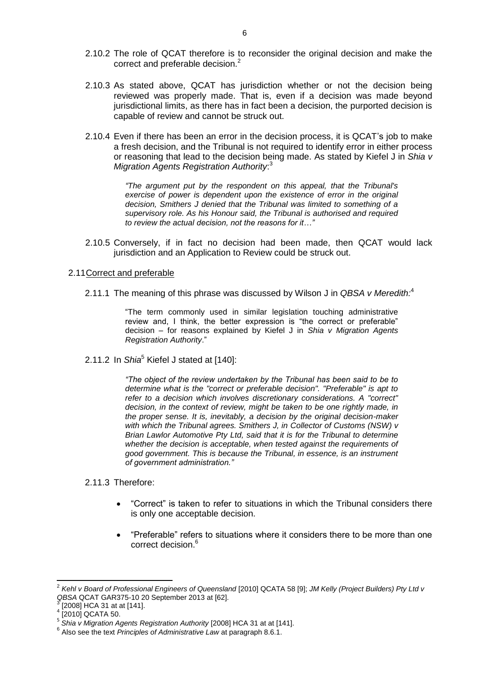- 2.10.2 The role of QCAT therefore is to reconsider the original decision and make the correct and preferable decision.<sup>2</sup>
- 2.10.3 As stated above, QCAT has jurisdiction whether or not the decision being reviewed was properly made. That is, even if a decision was made beyond jurisdictional limits, as there has in fact been a decision, the purported decision is capable of review and cannot be struck out.
- 2.10.4 Even if there has been an error in the decision process, it is QCAT's job to make a fresh decision, and the Tribunal is not required to identify error in either process or reasoning that lead to the decision being made. As stated by Kiefel J in *Shia v Migration Agents Registration Authority*: 3

*"The argument put by the respondent on this appeal, that the Tribunal's exercise of power is dependent upon the existence of error in the original decision, Smithers J denied that the Tribunal was limited to something of a supervisory role. As his Honour said, the Tribunal is authorised and required to review the actual decision, not the reasons for it…"*

2.10.5 Conversely, if in fact no decision had been made, then QCAT would lack jurisdiction and an Application to Review could be struck out.

# 2.11Correct and preferable

2.11.1 The meaning of this phrase was discussed by Wilson J in *QBSA v Meredith:* 4

"The term commonly used in similar legislation touching administrative review and, I think, the better expression is "the correct or preferable" decision – for reasons explained by Kiefel J in *Shia v Migration Agents Registration Authority*."

2.11.2 In *Shia*<sup>5</sup> Kiefel J stated at [140]:

*"The object of the review undertaken by the Tribunal has been said to be to determine what is the "correct or preferable decision". "Preferable" is apt to refer to a decision which involves discretionary considerations. A "correct" decision, in the context of review, might be taken to be one rightly made, in the proper sense. It is, inevitably, a decision by the original decision-maker with which the Tribunal agrees. Smithers J, in Collector of Customs (NSW) v Brian Lawlor Automotive Pty Ltd, said that it is for the Tribunal to determine whether the decision is acceptable, when tested against the requirements of good government. This is because the Tribunal, in essence, is an instrument of government administration."*

# 2.11.3 Therefore:

- "Correct" is taken to refer to situations in which the Tribunal considers there is only one acceptable decision.
- "Preferable" refers to situations where it considers there to be more than one correct decision.<sup>6</sup>

 $\overline{\phantom{a}}$ 2 *Kehl v Board of Professional Engineers of Queensland* [2010] QCATA 58 [9]; *JM Kelly (Project Builders) Pty Ltd v QBSA* QCAT GAR375-10 20 September 2013 at [62].

<sup>3</sup> [2008] HCA 31 at at [141]. 4

<sup>[2010]</sup> QCATA 50.

<sup>5</sup> *Shia v Migration Agents Registration Authority* [2008] HCA 31 at at [141].

<sup>6</sup> Also see the text *Principles of Administrative Law* at paragraph 8.6.1.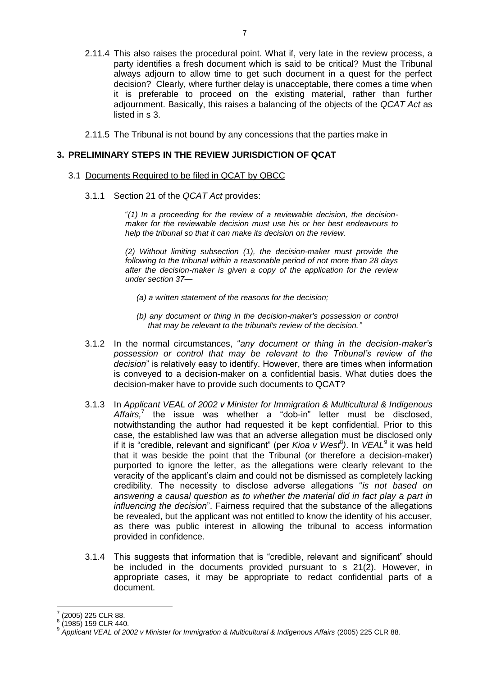- 2.11.4 This also raises the procedural point. What if, very late in the review process, a party identifies a fresh document which is said to be critical? Must the Tribunal always adjourn to allow time to get such document in a quest for the perfect decision? Clearly, where further delay is unacceptable, there comes a time when it is preferable to proceed on the existing material, rather than further adjournment. Basically, this raises a balancing of the objects of the *QCAT Act* as listed in s 3.
- 2.11.5 The Tribunal is not bound by any concessions that the parties make in

# **3. PRELIMINARY STEPS IN THE REVIEW JURISDICTION OF QCAT**

#### 3.1 Documents Required to be filed in QCAT by QBCC

3.1.1 Section 21 of the *QCAT Act* provides:

"*(1) In a proceeding for the review of a reviewable decision, the decisionmaker for the reviewable decision must use his or her best endeavours to help the tribunal so that it can make its decision on the review.* 

*(2) Without limiting subsection (1), the decision-maker must provide the following to the tribunal within a reasonable period of not more than 28 days after the decision-maker is given a copy of the application for the review under section 37—*

- *(a) a written statement of the reasons for the decision;*
- *(b) any document or thing in the decision-maker's possession or control that may be relevant to the tribunal's review of the decision."*
- 3.1.2 In the normal circumstances, "*any document or thing in the decision-maker's possession or control that may be relevant to the Tribunal's review of the decision*" is relatively easy to identify. However, there are times when information is conveyed to a decision-maker on a confidential basis. What duties does the decision-maker have to provide such documents to QCAT?
- 3.1.3 In *Applicant VEAL of 2002 v Minister for Immigration & Multicultural & Indigenous*  Affairs,<sup>7</sup> the issue was whether a "dob-in" letter must be disclosed, notwithstanding the author had requested it be kept confidential. Prior to this case, the established law was that an adverse allegation must be disclosed only if it is "credible, relevant and significant" (per *Kioa v West<sup>8</sup>)*. In *VEAL*<sup>9</sup> it was held that it was beside the point that the Tribunal (or therefore a decision-maker) purported to ignore the letter, as the allegations were clearly relevant to the veracity of the applicant's claim and could not be dismissed as completely lacking credibility. The necessity to disclose adverse allegations "*is not based on answering a causal question as to whether the material did in fact play a part in influencing the decision*". Fairness required that the substance of the allegations be revealed, but the applicant was not entitled to know the identity of his accuser, as there was public interest in allowing the tribunal to access information provided in confidence.
- 3.1.4 This suggests that information that is "credible, relevant and significant" should be included in the documents provided pursuant to s 21(2). However, in appropriate cases, it may be appropriate to redact confidential parts of a document.

 $\overline{a}$ 

<sup>7</sup> (2005) 225 CLR 88.

<sup>8</sup> (1985) 159 CLR 440.

<sup>9</sup> *Applicant VEAL of 2002 v Minister for Immigration & Multicultural & Indigenous Affairs* (2005) 225 CLR 88.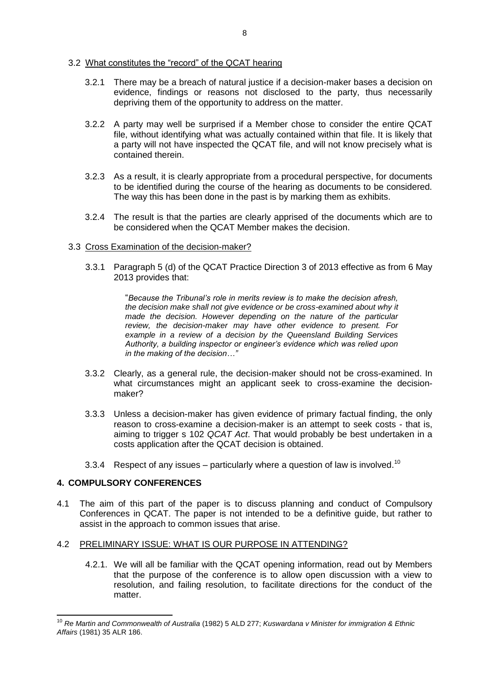# 3.2 What constitutes the "record" of the QCAT hearing

- 3.2.1 There may be a breach of natural justice if a decision-maker bases a decision on evidence, findings or reasons not disclosed to the party, thus necessarily depriving them of the opportunity to address on the matter.
- 3.2.2 A party may well be surprised if a Member chose to consider the entire QCAT file, without identifying what was actually contained within that file. It is likely that a party will not have inspected the QCAT file, and will not know precisely what is contained therein.
- 3.2.3 As a result, it is clearly appropriate from a procedural perspective, for documents to be identified during the course of the hearing as documents to be considered. The way this has been done in the past is by marking them as exhibits.
- 3.2.4 The result is that the parties are clearly apprised of the documents which are to be considered when the QCAT Member makes the decision.

# 3.3 Cross Examination of the decision-maker?

3.3.1 Paragraph 5 (d) of the QCAT Practice Direction 3 of 2013 effective as from 6 May 2013 provides that:

> "*Because the Tribunal's role in merits review is to make the decision afresh, the decision make shall not give evidence or be cross-examined about why it made the decision. However depending on the nature of the particular review, the decision-maker may have other evidence to present. For example in a review of a decision by the Queensland Building Services Authority, a building inspector or engineer's evidence which was relied upon in the making of the decision…"*

- 3.3.2 Clearly, as a general rule, the decision-maker should not be cross-examined. In what circumstances might an applicant seek to cross-examine the decisionmaker?
- 3.3.3 Unless a decision-maker has given evidence of primary factual finding, the only reason to cross-examine a decision-maker is an attempt to seek costs - that is, aiming to trigger s 102 *QCAT Act*. That would probably be best undertaken in a costs application after the QCAT decision is obtained.
- 3.3.4 Respect of any issues particularly where a question of law is involved.<sup>10</sup>

# **4. COMPULSORY CONFERENCES**

4.1 The aim of this part of the paper is to discuss planning and conduct of Compulsory Conferences in QCAT. The paper is not intended to be a definitive guide, but rather to assist in the approach to common issues that arise.

# 4.2 PRELIMINARY ISSUE: WHAT IS OUR PURPOSE IN ATTENDING?

4.2.1. We will all be familiar with the QCAT opening information, read out by Members that the purpose of the conference is to allow open discussion with a view to resolution, and failing resolution, to facilitate directions for the conduct of the matter.

 $\overline{\phantom{a}}$ <sup>10</sup> *Re Martin and Commonwealth of Australia* (1982) 5 ALD 277; *Kuswardana v Minister for immigration & Ethnic Affairs* (1981) 35 ALR 186.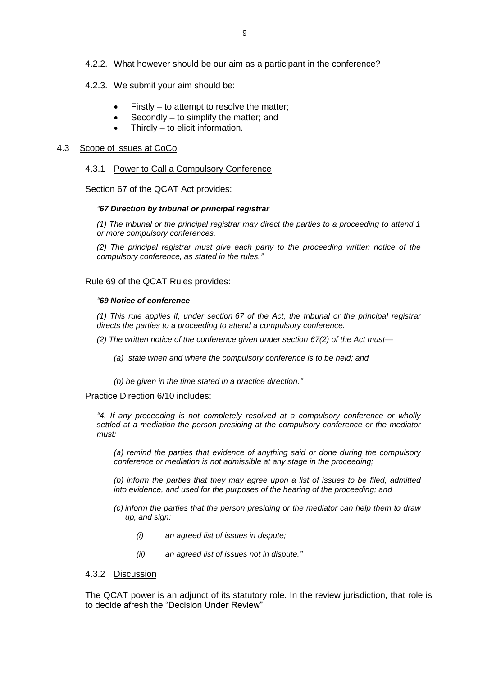- 4.2.2. What however should be our aim as a participant in the conference?
- 4.2.3. We submit your aim should be:
	- Firstly to attempt to resolve the matter;
	- Secondly to simplify the matter; and
	- Thirdly to elicit information.

# 4.3 Scope of issues at CoCo

## 4.3.1 Power to Call a Compulsory Conference

Section 67 of the QCAT Act provides:

#### *"67 Direction by tribunal or principal registrar*

*(1) The tribunal or the principal registrar may direct the parties to a proceeding to attend 1 or more compulsory conferences.*

*(2) The principal registrar must give each party to the proceeding written notice of the compulsory conference, as stated in the rules."* 

#### Rule 69 of the QCAT Rules provides:

#### *"69 Notice of conference*

*(1) This rule applies if, under section 67 of the Act, the tribunal or the principal registrar directs the parties to a proceeding to attend a compulsory conference.*

*(2) The written notice of the conference given under section 67(2) of the Act must—*

- *(a) state when and where the compulsory conference is to be held; and*
- *(b) be given in the time stated in a practice direction."*

Practice Direction 6/10 includes:

*"4. If any proceeding is not completely resolved at a compulsory conference or wholly settled at a mediation the person presiding at the compulsory conference or the mediator must:* 

*(a) remind the parties that evidence of anything said or done during the compulsory conference or mediation is not admissible at any stage in the proceeding;* 

*(b) inform the parties that they may agree upon a list of issues to be filed, admitted into evidence, and used for the purposes of the hearing of the proceeding; and* 

- *(c) inform the parties that the person presiding or the mediator can help them to draw up, and sign:* 
	- *(i) an agreed list of issues in dispute;*
	- *(ii) an agreed list of issues not in dispute."*

# 4.3.2 Discussion

The QCAT power is an adjunct of its statutory role. In the review jurisdiction, that role is to decide afresh the "Decision Under Review".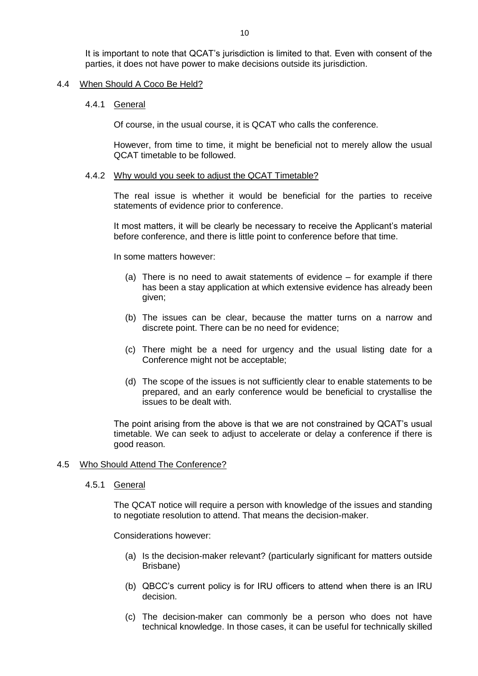It is important to note that QCAT's jurisdiction is limited to that. Even with consent of the parties, it does not have power to make decisions outside its jurisdiction.

## 4.4 When Should A Coco Be Held?

#### 4.4.1 General

Of course, in the usual course, it is QCAT who calls the conference.

However, from time to time, it might be beneficial not to merely allow the usual QCAT timetable to be followed.

## 4.4.2 Why would you seek to adjust the QCAT Timetable?

The real issue is whether it would be beneficial for the parties to receive statements of evidence prior to conference.

It most matters, it will be clearly be necessary to receive the Applicant's material before conference, and there is little point to conference before that time.

In some matters however:

- (a) There is no need to await statements of evidence for example if there has been a stay application at which extensive evidence has already been given;
- (b) The issues can be clear, because the matter turns on a narrow and discrete point. There can be no need for evidence;
- (c) There might be a need for urgency and the usual listing date for a Conference might not be acceptable;
- (d) The scope of the issues is not sufficiently clear to enable statements to be prepared, and an early conference would be beneficial to crystallise the issues to be dealt with.

The point arising from the above is that we are not constrained by QCAT's usual timetable. We can seek to adjust to accelerate or delay a conference if there is good reason.

# 4.5 Who Should Attend The Conference?

4.5.1 General

The QCAT notice will require a person with knowledge of the issues and standing to negotiate resolution to attend. That means the decision-maker.

Considerations however:

- (a) Is the decision-maker relevant? (particularly significant for matters outside Brisbane)
- (b) QBCC's current policy is for IRU officers to attend when there is an IRU decision.
- (c) The decision-maker can commonly be a person who does not have technical knowledge. In those cases, it can be useful for technically skilled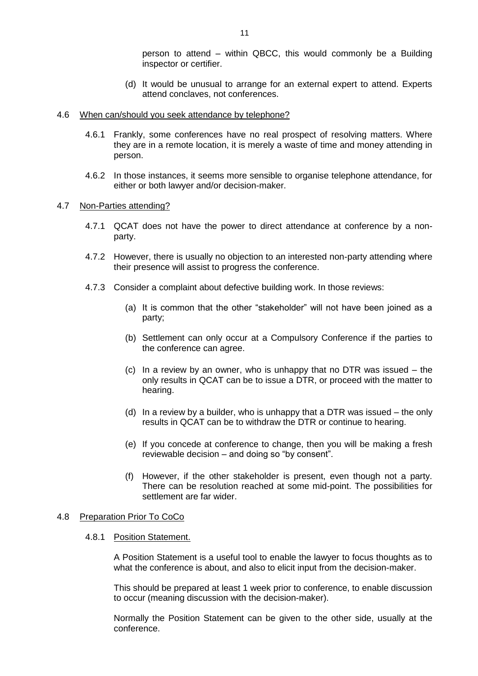person to attend – within QBCC, this would commonly be a Building inspector or certifier.

- (d) It would be unusual to arrange for an external expert to attend. Experts attend conclaves, not conferences.
- 4.6 When can/should you seek attendance by telephone?
	- 4.6.1 Frankly, some conferences have no real prospect of resolving matters. Where they are in a remote location, it is merely a waste of time and money attending in person.
	- 4.6.2 In those instances, it seems more sensible to organise telephone attendance, for either or both lawyer and/or decision-maker.
- 4.7 Non-Parties attending?
	- 4.7.1 QCAT does not have the power to direct attendance at conference by a nonparty.
	- 4.7.2 However, there is usually no objection to an interested non-party attending where their presence will assist to progress the conference.
	- 4.7.3 Consider a complaint about defective building work. In those reviews:
		- (a) It is common that the other "stakeholder" will not have been joined as a party;
		- (b) Settlement can only occur at a Compulsory Conference if the parties to the conference can agree.
		- (c) In a review by an owner, who is unhappy that no DTR was issued the only results in QCAT can be to issue a DTR, or proceed with the matter to hearing.
		- (d) In a review by a builder, who is unhappy that a DTR was issued the only results in QCAT can be to withdraw the DTR or continue to hearing.
		- (e) If you concede at conference to change, then you will be making a fresh reviewable decision – and doing so "by consent".
		- (f) However, if the other stakeholder is present, even though not a party. There can be resolution reached at some mid-point. The possibilities for settlement are far wider.

# 4.8 Preparation Prior To CoCo

#### 4.8.1 Position Statement.

A Position Statement is a useful tool to enable the lawyer to focus thoughts as to what the conference is about, and also to elicit input from the decision-maker.

This should be prepared at least 1 week prior to conference, to enable discussion to occur (meaning discussion with the decision-maker).

Normally the Position Statement can be given to the other side, usually at the conference.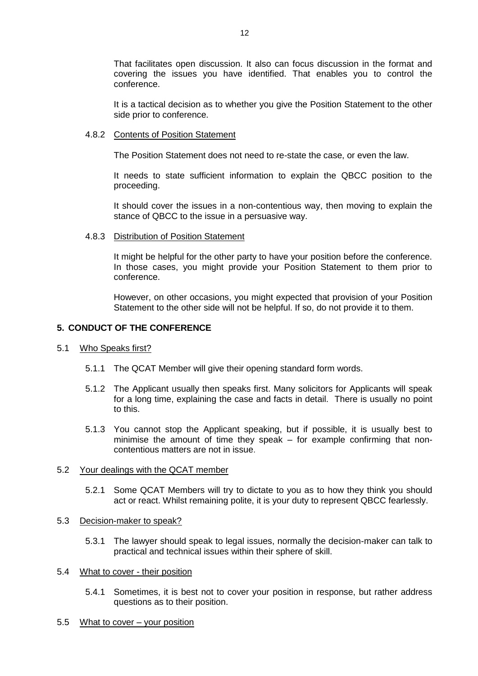That facilitates open discussion. It also can focus discussion in the format and covering the issues you have identified. That enables you to control the conference.

It is a tactical decision as to whether you give the Position Statement to the other side prior to conference.

# 4.8.2 Contents of Position Statement

The Position Statement does not need to re-state the case, or even the law.

It needs to state sufficient information to explain the QBCC position to the proceeding.

It should cover the issues in a non-contentious way, then moving to explain the stance of QBCC to the issue in a persuasive way.

# 4.8.3 Distribution of Position Statement

It might be helpful for the other party to have your position before the conference. In those cases, you might provide your Position Statement to them prior to conference.

However, on other occasions, you might expected that provision of your Position Statement to the other side will not be helpful. If so, do not provide it to them.

# **5. CONDUCT OF THE CONFERENCE**

# 5.1 Who Speaks first?

- 5.1.1 The QCAT Member will give their opening standard form words.
- 5.1.2 The Applicant usually then speaks first. Many solicitors for Applicants will speak for a long time, explaining the case and facts in detail. There is usually no point to this.
- 5.1.3 You cannot stop the Applicant speaking, but if possible, it is usually best to minimise the amount of time they speak – for example confirming that noncontentious matters are not in issue.

# 5.2 Your dealings with the QCAT member

5.2.1 Some QCAT Members will try to dictate to you as to how they think you should act or react. Whilst remaining polite, it is your duty to represent QBCC fearlessly.

# 5.3 Decision-maker to speak?

5.3.1 The lawyer should speak to legal issues, normally the decision-maker can talk to practical and technical issues within their sphere of skill.

# 5.4 What to cover - their position

5.4.1 Sometimes, it is best not to cover your position in response, but rather address questions as to their position.

# 5.5 What to cover – your position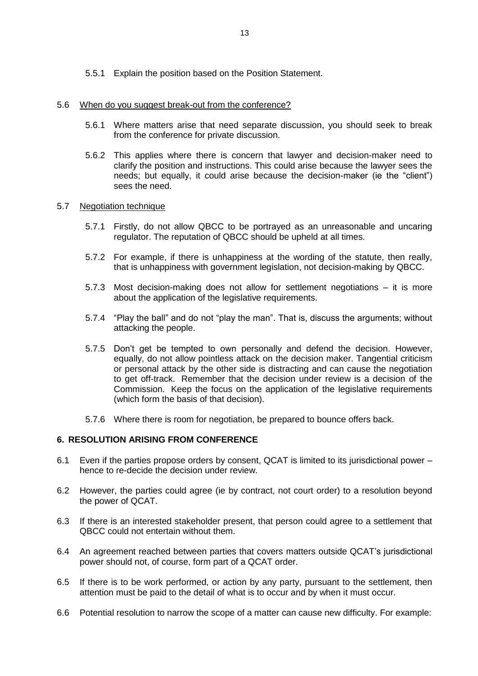5.5.1 Explain the position based on the Position Statement.

# 5.6 When do you suggest break-out from the conference?

- 5.6.1 Where matters arise that need separate discussion, you should seek to break from the conference for private discussion.
- 5.6.2 This applies where there is concern that lawyer and decision-maker need to clarify the position and instructions. This could arise because the lawyer sees the needs; but equally, it could arise because the decision-maker (ie the "client") sees the need.

# 5.7 Negotiation technique

- 5.7.1 Firstly, do not allow QBCC to be portrayed as an unreasonable and uncaring regulator. The reputation of QBCC should be upheld at all times.
- 5.7.2 For example, if there is unhappiness at the wording of the statute, then really, that is unhappiness with government legislation, not decision-making by QBCC.
- 5.7.3 Most decision-making does not allow for settlement negotiations it is more about the application of the legislative requirements.
- 5.7.4 "Play the ball" and do not "play the man". That is, discuss the arguments; without attacking the people.
- 5.7.5 Don't get be tempted to own personally and defend the decision. However, equally, do not allow pointless attack on the decision maker. Tangential criticism or personal attack by the other side is distracting and can cause the negotiation to get off-track. Remember that the decision under review is a decision of the Commission. Keep the focus on the application of the legislative requirements (which form the basis of that decision).
- 5.7.6 Where there is room for negotiation, be prepared to bounce offers back.

# **6. RESOLUTION ARISING FROM CONFERENCE**

- 6.1 Even if the parties propose orders by consent, QCAT is limited to its jurisdictional power hence to re-decide the decision under review.
- 6.2 However, the parties could agree (ie by contract, not court order) to a resolution beyond the power of QCAT.
- 6.3 If there is an interested stakeholder present, that person could agree to a settlement that QBCC could not entertain without them.
- 6.4 An agreement reached between parties that covers matters outside QCAT's jurisdictional power should not, of course, form part of a QCAT order.
- 6.5 If there is to be work performed, or action by any party, pursuant to the settlement, then attention must be paid to the detail of what is to occur and by when it must occur.
- 6.6 Potential resolution to narrow the scope of a matter can cause new difficulty. For example: